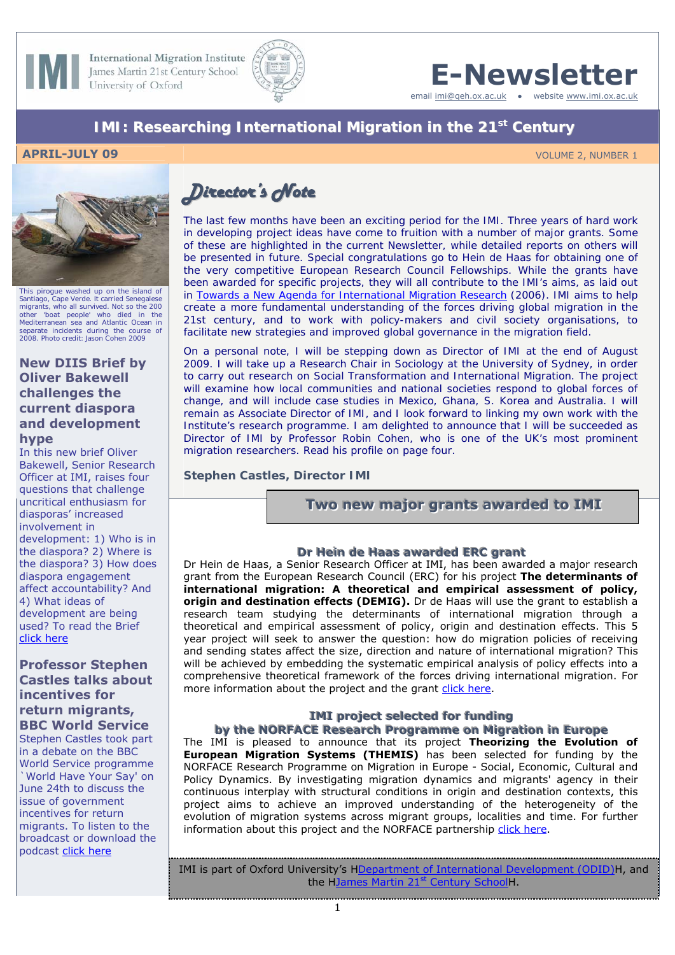

**International Migration Institute** James Martin 21st Century School University of Oxford



# **E-Newsletter**

email [imi@qeh.ox.ac.uk](mailto:imi@qeh.ox.ac.uk) • website [www.imi.ox.ac.uk](http://www.imi.ox.ac.uk/)

# *IMI: Researching International Migration in the 21st Century*

#### **APRIL-JULY 09** VOLUME 2, NUMBER 1



Santiago, Cape Verde. It carried Senegalese migrants, who all survived. Not so the 200 other 'boat people' who died in the Mediterranean sea and Atlantic Ocean in separate incidents during the course of 2008. Photo credit: Jason Cohen 2009

#### **New DIIS Brief by Oliver Bakewell challenges the current diaspora and development hype**

In this new brief Oliver Bakewell, Senior Research Officer at IMI, raises four questions that challenge uncritical enthusiasm for diasporas' increased involvement in development: 1) Who is in the diaspora? 2) Where is the diaspora? 3) How does diaspora engagement affect accountability? And 4) What ideas of development are being used? To read the Brief [click here](http://www.imi.ox.ac.uk/pdfs/which-diaspora-for-whose-development-o-bakewell)

#### **Professor Stephen Castles talks about incentives for return migrants, BBC World Service**

Stephen Castles took part in a debate on the BBC World Service programme `World Have Your Say' on June 24th to discuss the issue of government incentives for return migrants. To listen to the broadcast or download the podcast [click here](http://worldhaveyoursay.wordpress.com/2009/06/23/would-you-pay-immigrants-to-leave-your-country/)

# *Director's Note*

*The last few months have been an exciting period for the IMI. Three years of hard work in developing project ideas have come to fruition with a number of major grants. Some of these are highlighted in the current Newsletter, while detailed reports on others will be presented in future. Special congratulations go to Hein de Haas for obtaining one of the very competitive European Research Council Fellowships. While the grants have been awarded for specific projects, they will all contribute to the IMI's aims, as laid out in [Towards a New Agenda for International Migration Research](http://www.imi.ox.ac.uk/pdfs/a4-imi-research-agenda.pdf) (2006). IMI aims to help create a more fundamental understanding of the forces driving global migration in the 21st century, and to work with policy-makers and civil society organisations, to facilitate new strategies and improved global governance in the migration field.* 

*On a personal note, I will be stepping down as Director of IMI at the end of August 2009. I will take up a Research Chair in Sociology at the University of Sydney, in order to carry out research on Social Transformation and International Migration. The project will examine how local communities and national societies respond to global forces of change, and will include case studies in Mexico, Ghana, S. Korea and Australia. I will remain as Associate Director of IMI, and I look forward to linking my own work with the Institute's research programme. I am delighted to announce that I will be succeeded as Director of IMI by Professor Robin Cohen, who is one of the UK's most prominent migration researchers. Read his profile on page four.* 

*Stephen Castles, Director IMI*

**Two new major grants awarded to IMI** 

#### **Dr Hein de Haas awarded ERC grant**

Dr Hein de Haas, a Senior Research Officer at IMI, has been awarded a major research grant from the European Research Council (ERC) for his project **The determinants of international migration: A theoretical and empirical assessment of policy, origin and destination effects (DEMIG).** Dr de Haas will use the grant to establish a research team studying the determinants of international migration through a theoretical and empirical assessment of policy, origin and destination effects. This 5 year project will seek to answer the question: how do migration policies of receiving and sending states affect the size, direction and nature of international migration? This will be achieved by embedding the systematic empirical analysis of policy effects into a comprehensive theoretical framework of the forces driving international migration. For more information about the project and the grant [click here](http://www.imi.ox.ac.uk/news/dr-hein-de-haas-awarded-erc-grant).

#### **IMI** project selected for funding by the NORFACE Research Programme on Migration in Europe

The IMI is pleased to announce that its project **Theorizing the Evolution of European Migration Systems (THEMIS)** has been selected for funding by the NORFACE Research Programme on Migration in Europe - Social, Economic, Cultural and Policy Dynamics. By investigating migration dynamics and migrants' agency in their continuous interplay with structural conditions in origin and destination contexts, this project aims to achieve an improved understanding of the heterogeneity of the evolution of migration systems across migrant groups, localities and time. For further information about this project and the NORFACE partnership [click here](http://www.imi.ox.ac.uk/news-store/imi-project-theorizing-the-evolution-of-european-migration-systems-themis-selected-for-funding-by-the-norface-research-programme-on-migration-in-europe).

IMI is part of Oxford University's HDepartment of International Development (ODID)H, and the HJames Martin 21<sup>st</sup> Century SchoolH.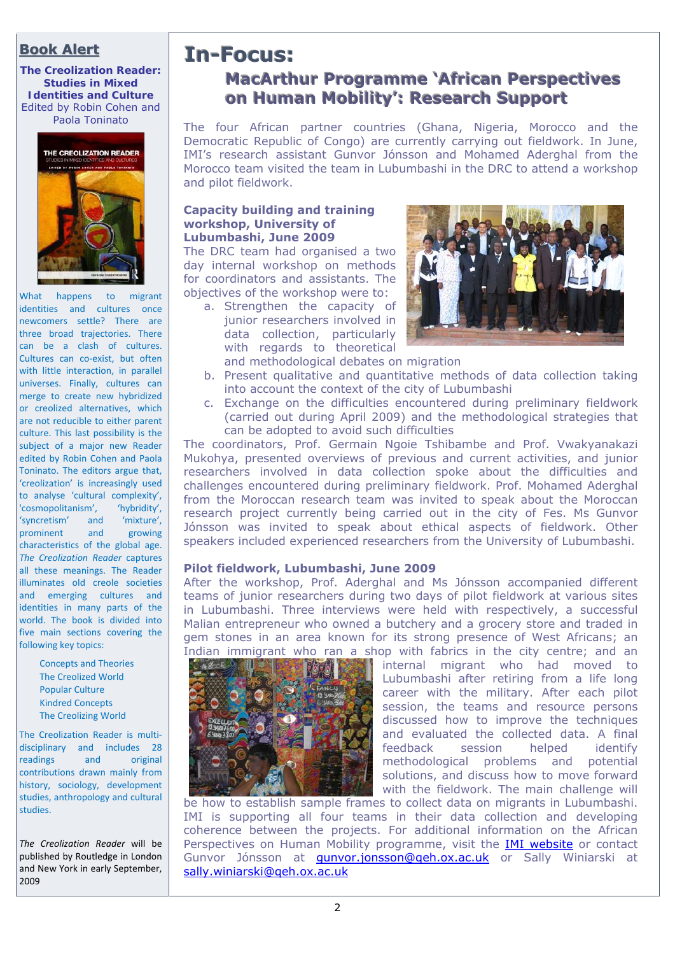# **Book Alert**

*The Creolization Reader: Studies in Mixed Identities and Culture* Edited by Robin Cohen and Paola Toninato



What happens to migrant identities and cultures once newcomers settle? There are three broad trajectories. There can be a clash of cultures. Cultures can co‐exist, but often with little interaction, in parallel universes. Finally, cultures can merge to create new hybridized or creolized alternatives, which are not reducible to either parent culture. This last possibility is the subject of a major new Reader edited by Robin Cohen and Paola Toninato. The editors argue that, 'creolization' is increasingly used to analyse 'cultural complexity', 'cosmopolitanism', 'hybridity', 'syncretism' and prominent and growing characteristics of the global age. *The Creolization Reader* captures all these meanings. The Reader illuminates old creole societies and emerging cultures and identities in many parts of the world. The book is divided into five main sections covering the following key topics:

> Concepts and Theories The Creolized World Popular Culture Kindred Concepts The Creolizing World

The Creolization Reader is multi‐ disciplinary and includes 28 readings and original contributions drawn mainly from history, sociology, development studies, anthropology and cultural studies.

*The Creolization Reader* will be published by Routledge in London and New York in early September, 2009

# **In-Focus: MacArthur Programme 'African Perspectives on Human Mobility': Research Support**

The four African partner countries (Ghana, Nigeria, Morocco and the Democratic Republic of Congo) are currently carrying out fieldwork. In June, IMI's research assistant Gunvor Jónsson and Mohamed Aderghal from the Morocco team visited the team in Lubumbashi in the DRC to attend a workshop and pilot fieldwork.

#### **Capacity building and training workshop, University of Lubumbashi, June 2009**

The DRC team had organised a two day internal workshop on methods for coordinators and assistants. The objectives of the workshop were to:

a. Strengthen the capacity of junior researchers involved in data collection, particularly with regards to theoretical and methodological debates on migration



- b. Present qualitative and quantitative methods of data collection taking into account the context of the city of Lubumbashi
- c. Exchange on the difficulties encountered during preliminary fieldwork (carried out during April 2009) and the methodological strategies that can be adopted to avoid such difficulties

The coordinators, Prof. Germain Ngoie Tshibambe and Prof. Vwakyanakazi Mukohya, presented overviews of previous and current activities, and junior researchers involved in data collection spoke about the difficulties and challenges encountered during preliminary fieldwork. Prof. Mohamed Aderghal from the Moroccan research team was invited to speak about the Moroccan research project currently being carried out in the city of Fes. Ms Gunvor Jónsson was invited to speak about ethical aspects of fieldwork. Other speakers included experienced researchers from the University of Lubumbashi.

#### **Pilot fieldwork, Lubumbashi, June 2009**

After the workshop, Prof. Aderghal and Ms Jónsson accompanied different teams of junior researchers during two days of pilot fieldwork at various sites in Lubumbashi. Three interviews were held with respectively, a successful Malian entrepreneur who owned a butchery and a grocery store and traded in gem stones in an area known for its strong presence of West Africans; an Indian immigrant who ran a shop with fabrics in the city centre; and an



internal migrant who had moved to Lubumbashi after retiring from a life long career with the military. After each pilot session, the teams and resource persons discussed how to improve the techniques and evaluated the collected data. A final feedback session helped identify methodological problems and potential solutions, and discuss how to move forward with the fieldwork. The main challenge will

be how to establish sample frames to collect data on migrants in Lubumbashi. IMI is supporting all four teams in their data collection and developing coherence between the projects. For additional information on the African Perspectives on Human Mobility programme, visit the **IMI website** or contact Gunvor Jónsson at **gunvor.jonsson@qeh.ox.ac.uk** or Sally Winiarski at [sally.winiarski@qeh.ox.ac.uk](mailto:sally.winiarski@qeh.ox.ac.uk)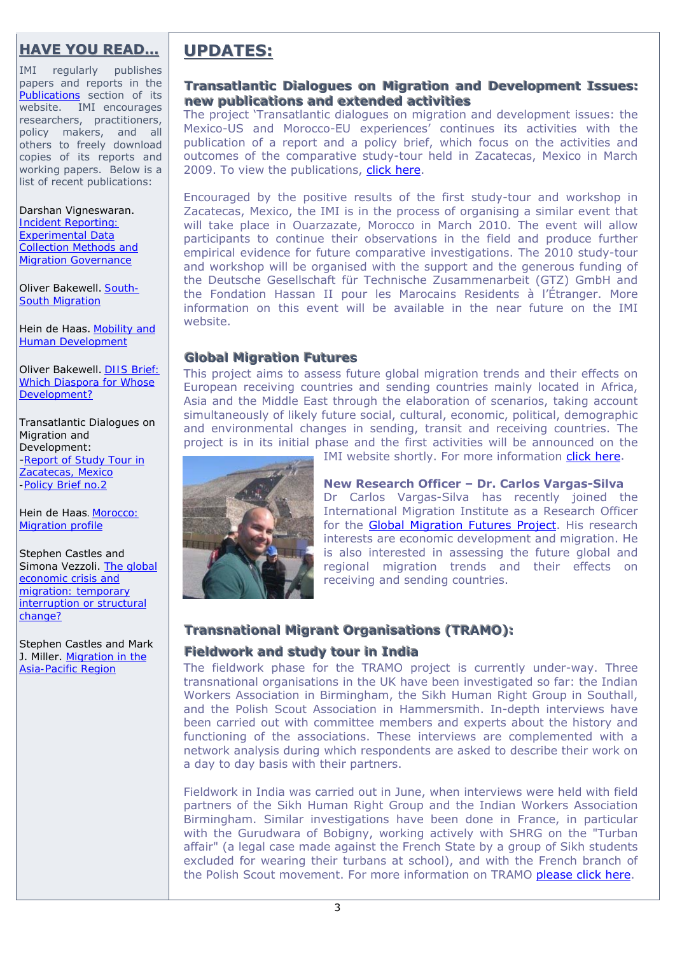# **HAVE YOU READ…**

IMI regularly publishes papers and reports in the [Publications](http://www.imi.ox.ac.uk/publications) section of its website. IMI encourages researchers, practitioners, policy makers, and all others to freely download copies of its reports and working papers. Below is a list of recent publications:

#### Darshan Vigneswaran. *[Incident Reporting:](http://www.imi.ox.ac.uk/pdfs/wp-16-d-vigneswaran-incident-reporting)  [Experimental Data](http://www.imi.ox.ac.uk/pdfs/wp-16-d-vigneswaran-incident-reporting)*

*[Collection Methods and](http://www.imi.ox.ac.uk/pdfs/wp-16-d-vigneswaran-incident-reporting)  [Migration Governance](http://www.imi.ox.ac.uk/pdfs/wp-16-d-vigneswaran-incident-reporting)*

Oliver Bakewell. *[South-](http://www.imi.ox.ac.uk/pdfs/wp-15-oliver-bakewell-south-south-migration)[South Migration](http://www.imi.ox.ac.uk/pdfs/wp-15-oliver-bakewell-south-south-migration)* 

Hein de Haas. *[Mobility and](http://www.imi.ox.ac.uk/pdfs/2009-wp-14-mobility-and-human-development-hein-de-haas)  [Human Development](http://www.imi.ox.ac.uk/pdfs/2009-wp-14-mobility-and-human-development-hein-de-haas)*

Oliver Bakewell. *[DIIS Brief:](http://www.imi.ox.ac.uk/pdfs/which-diaspora-for-whose-development-o-bakewell)  [Which Diaspora for Whose](http://www.imi.ox.ac.uk/pdfs/which-diaspora-for-whose-development-o-bakewell)  [Development?](http://www.imi.ox.ac.uk/pdfs/which-diaspora-for-whose-development-o-bakewell)*

Transatlantic Dialogues on Migration and Development: -*[Report of Study Tour in](http://www.imi.ox.ac.uk/pdfs/gmf-report-2009-en)  [Zacatecas, Mexico](http://www.imi.ox.ac.uk/pdfs/gmf-report-2009-en)  [-Policy Brief no.2](http://www.imi.ox.ac.uk/pdfs/td-policy-brief-no.-2)* 

Hein de Haas. *[Morocco:](http://www.focus-migration.de/Morocco.5987.0.html?&L=1) [Migration profile](http://www.focus-migration.de/Morocco.5987.0.html?&L=1)*

Stephen Castles and Simona Vezzoli. *[The global](http://www.gencat.cat/diue/doc/doc_86200114_3.pdf)  [economic crisis and](http://www.gencat.cat/diue/doc/doc_86200114_3.pdf)  [migration: temporary](http://www.gencat.cat/diue/doc/doc_86200114_3.pdf)  [interruption or structural](http://www.gencat.cat/diue/doc/doc_86200114_3.pdf)  [change?](http://www.gencat.cat/diue/doc/doc_86200114_3.pdf)*

Stephen Castles and Mark J. Miller. *[Migration in the](http://www.migrationinformation.org/Feature/display.cfm?id=733)  [Asia-Pacific Region](http://www.migrationinformation.org/Feature/display.cfm?id=733)*

# **UPDATES: PDATES:**

#### **Transatlantic Dialogues on Migration and Development Issues:** new publications and extended activities

The project 'Transatlantic dialogues on migration and development issues: the Mexico-US and Morocco-EU experiences' continues its activities with the publication of a report and a policy brief, which focus on the activities and outcomes of the comparative study-tour held in Zacatecas, Mexico in March 2009. To view the publications, [click here](http://www.imi.ox.ac.uk/research/transatlantic-dialogues-on-migration-and-development-issues/transatlantic-dialogues-of-migration-and-development-issues).

Encouraged by the positive results of the first study-tour and workshop in Zacatecas, Mexico, the IMI is in the process of organising a similar event that will take place in Ouarzazate, Morocco in March 2010. The event will allow participants to continue their observations in the field and produce further empirical evidence for future comparative investigations. The 2010 study-tour and workshop will be organised with the support and the generous funding of the Deutsche Gesellschaft für Technische Zusammenarbeit (GTZ) GmbH and the Fondation Hassan II pour les Marocains Residents à l'Étranger. More information on this event will be available in the near future on the [IMI](http://www.imi.ox.ac.uk/research/transatlantic-dialogues-on-migration-and-development-issues)  [website](http://www.imi.ox.ac.uk/research/transatlantic-dialogues-on-migration-and-development-issues).

#### **Global Migration Futures**

This project aims to assess future global migration trends and their effects on European receiving countries and sending countries mainly located in Africa, Asia and the Middle East through the elaboration of scenarios, taking account simultaneously of likely future social, cultural, economic, political, demographic and environmental changes in sending, transit and receiving countries. The project is in its initial phase and the first activities will be announced on the



IMI website shortly. For more information [click here.](http://www.imi.ox.ac.uk/themes/global-migration-futures/global-migration-futures)

**New Research Officer – Dr. Carlos Vargas-Silva**  Dr Carlos Vargas-Silva has recently joined the International Migration Institute as a Research Officer for the [Global Migration Futures Project.](http://www.imi.ox.ac.uk/themes/global-migration-futures) His research interests are economic development and migration. He is also interested in assessing the future global and regional migration trends and their effects on receiving and sending countries.

# **Transnational Migrant Organisations (TRAMO):**

# Fieldwork and study tour in India

The fieldwork phase for the TRAMO project is currently under-way. Three transnational organisations in the UK have been investigated so far: the Indian Workers Association in Birmingham, the Sikh Human Right Group in Southall, and the Polish Scout Association in Hammersmith. In-depth interviews have been carried out with committee members and experts about the history and functioning of the associations. These interviews are complemented with a network analysis during which respondents are asked to describe their work on a day to day basis with their partners.

Fieldwork in India was carried out in June, when interviews were held with field partners of the Sikh Human Right Group and the Indian Workers Association Birmingham. Similar investigations have been done in France, in particular with the Gurudwara of Bobigny, working actively with SHRG on the "Turban affair" (a legal case made against the French State by a group of Sikh students excluded for wearing their turbans at school), and with the French branch of the Polish Scout movement. For more information on TRAMO [please click here.](http://www.imi.ox.ac.uk/research/transnational-migrant-organisations)